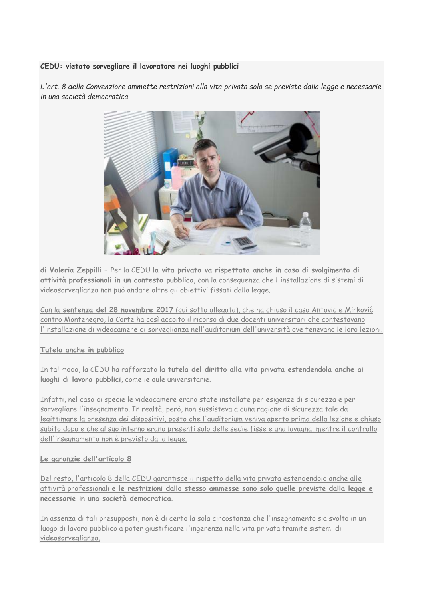#### **CEDU: vietato sorvegliare il lavoratore nei luoghi pubblici**

*L'art. 8 della Convenzione ammette restrizioni alla vita privata solo se previste dalla legge e necessarie in una società democratica*



**di Valeria Zeppilli –** Per la CEDU **la vita privata va rispettata anche in caso di svolgimento di attività professionali in un contesto pubblico**, con la conseguenza che l'installazione di sistemi di videosorveglianza non può andare oltre gli obiettivi fissati dalla legge.

Con la **sentenza del 28 novembre 2017** (qui sotto allegata), che ha chiuso il caso Antovic e Mirković contro Montenegro, la Corte ha così accolto il ricorso di due docenti universitari che contestavano l'installazione di videocamere di sorveglianza nell'auditorium dell'università ove tenevano le loro lezioni.

**Tutela anche in pubblico**

In tal modo, la CEDU ha rafforzato la **tutela del diritto alla vita privata estendendola anche ai luoghi di lavoro pubblici**, come le aule universitarie.

Infatti, nel caso di specie le videocamere erano state installate per esigenze di sicurezza e per sorvegliare l'insegnamento. In realtà, però, non sussisteva alcuna ragione di sicurezza tale da legittimare la presenza dei dispositivi, posto che l'auditorium veniva aperto prima della lezione e chiuso subito dopo e che al suo interno erano presenti solo delle sedie fisse e una lavagna, mentre il controllo dell'insegnamento non è previsto dalla legge.

**Le garanzie dell'articolo 8**

Del resto, l'articolo 8 della CEDU garantisce il rispetto della vita privata estendendolo anche alle attività professionali e **le restrizioni dallo stesso ammesse sono solo quelle previste dalla legge e necessarie in una società democratica**.

In assenza di tali presupposti, non è di certo la sola circostanza che l'insegnamento sia svolto in un luogo di lavoro pubblico a poter giustificare l'ingerenza nella vita privata tramite sistemi di videosorveglianza.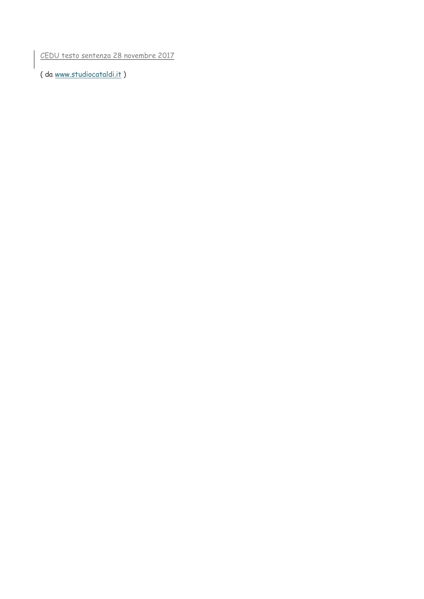[CEDU testo sentenza 28 novembre 2017](https://www.studiocataldi.it/allegati/news/allegato_28300_1.pdf)

( da [www.studiocataldi.it](http://www.studiocataldi.it/) )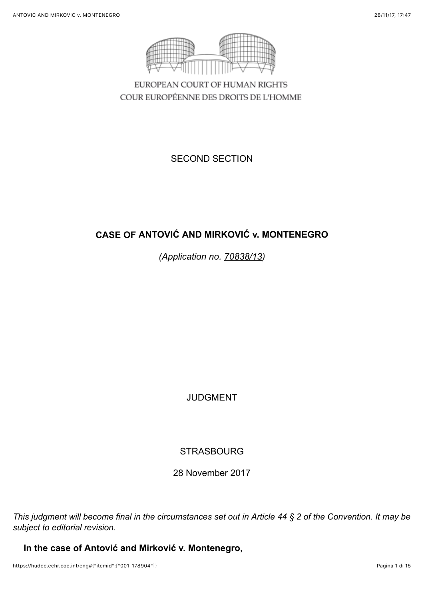

EUROPEAN COURT OF HUMAN RIGHTS COUR EUROPÉENNE DES DROITS DE L'HOMME

SECOND SECTION

# **CASE OF ANTOVIĆ AND MIRKOVIĆ v. MONTENEGRO**

*(Application no. [70838/13](https://hudoc.echr.coe.int/eng#%7B%22appno%22:%5B%2270838/13%22%5D%7D))*

JUDGMENT

**STRASBOURG** 

28 November 2017

*This judgment will become final in the circumstances set out in Article 44 § 2 of the Convention. It may be subject to editorial revision.*

**In the case of Antović and Mirković v. Montenegro,**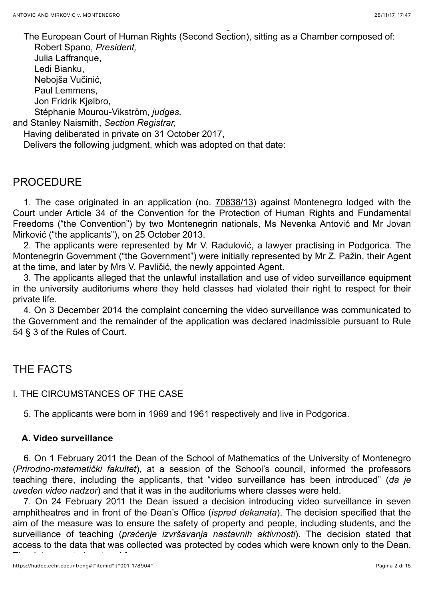The European Court of Human Rights (Second Section), sitting as a Chamber composed of: Robert Spano, *President,* Julia Laffranque, Ledi Bianku, Nebojša Vučinić, Paul Lemmens, Jon Fridrik Kjølbro,

Stéphanie Mourou-Vikström, *judges,*

and Stanley Naismith, *Section Registrar,*

Having deliberated in private on 31 October 2017, Delivers the following judgment, which was adopted on that date:

# PROCEDURE

1. The case originated in an application (no. [70838/13\)](https://hudoc.echr.coe.int/eng#%7B%22appno%22:%5B%2270838/13%22%5D%7D) against Montenegro lodged with the Court under Article 34 of the Convention for the Protection of Human Rights and Fundamental Freedoms ("the Convention") by two Montenegrin nationals, Ms Nevenka Antović and Mr Jovan Mirković ("the applicants"), on 25 October 2013.

2. The applicants were represented by Mr V. Radulović, a lawyer practising in Podgorica. The Montenegrin Government ("the Government") were initially represented by Mr Z. Pažin, their Agent at the time, and later by Mrs V. Pavličić, the newly appointed Agent.

3. The applicants alleged that the unlawful installation and use of video surveillance equipment in the university auditoriums where they held classes had violated their right to respect for their private life.

4. On 3 December 2014 the complaint concerning the video surveillance was communicated to the Government and the remainder of the application was declared inadmissible pursuant to Rule 54 § 3 of the Rules of Court.

# THE FACTS

### I. THE CIRCUMSTANCES OF THE CASE

5. The applicants were born in 1969 and 1961 respectively and live in Podgorica.

### **A. Video surveillance**

6. On 1 February 2011 the Dean of the School of Mathematics of the University of Montenegro (*Prirodno-matematički fakultet*), at a session of the School's council, informed the professors teaching there, including the applicants, that "video surveillance has been introduced" (*da je uveden video nadzor*) and that it was in the auditoriums where classes were held.

7. On 24 February 2011 the Dean issued a decision introducing video surveillance in seven amphitheatres and in front of the Dean's Office (*ispred dekanata*). The decision specified that the aim of the measure was to ensure the safety of property and people, including students, and the surveillance of teaching (*praćenje izvršavanja nastavnih aktivnosti*). The decision stated that access to the data that was collected was protected by codes which were known only to the Dean.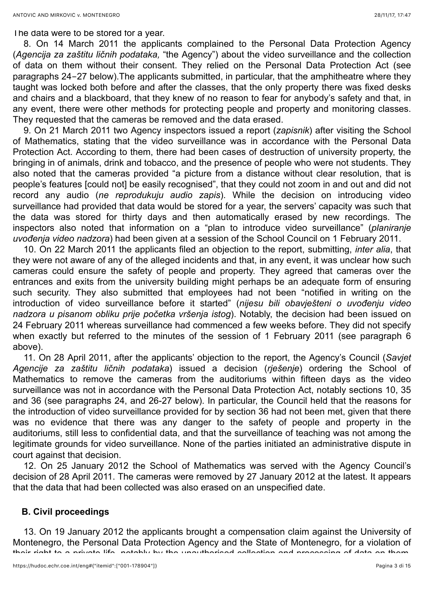The data were to be stored for a year.

8. On 14 March 2011 the applicants complained to the Personal Data Protection Agency (*Agencija za zaštitu ličnih podataka,* "the Agency") about the video surveillance and the collection of data on them without their consent. They relied on the Personal Data Protection Act (see paragraphs 24-27 below).The applicants submitted, in particular, that the amphitheatre where they taught was locked both before and after the classes, that the only property there was fixed desks and chairs and a blackboard, that they knew of no reason to fear for anybody's safety and that, in any event, there were other methods for protecting people and property and monitoring classes. They requested that the cameras be removed and the data erased.

9. On 21 March 2011 two Agency inspectors issued a report (*zapisnik*) after visiting the School of Mathematics, stating that the video surveillance was in accordance with the Personal Data Protection Act. According to them, there had been cases of destruction of university property, the bringing in of animals, drink and tobacco, and the presence of people who were not students. They also noted that the cameras provided "a picture from a distance without clear resolution, that is people's features [could not] be easily recognised", that they could not zoom in and out and did not record any audio (*ne reprodukuju audio zapis*). While the decision on introducing video surveillance had provided that data would be stored for a year, the servers' capacity was such that the data was stored for thirty days and then automatically erased by new recordings. The inspectors also noted that information on a "plan to introduce video surveillance" (*planiranje uvođenja video nadzora*) had been given at a session of the School Council on 1 February 2011.

10. On 22 March 2011 the applicants filed an objection to the report, submitting, *inter alia*, that they were not aware of any of the alleged incidents and that, in any event, it was unclear how such cameras could ensure the safety of people and property. They agreed that cameras over the entrances and exits from the university building might perhaps be an adequate form of ensuring such security. They also submitted that employees had not been "notified in writing on the introduction of video surveillance before it started" (*nijesu bili obavješteni o uvođenju video nadzora u pisanom obliku prije početka vršenja istog*). Notably, the decision had been issued on 24 February 2011 whereas surveillance had commenced a few weeks before. They did not specify when exactly but referred to the minutes of the session of 1 February 2011 (see paragraph 6 above).

11. On 28 April 2011, after the applicants' objection to the report, the Agency's Council (*Savjet Agencije za zaštitu ličnih podataka*) issued a decision (*rješenje*) ordering the School of Mathematics to remove the cameras from the auditoriums within fifteen days as the video surveillance was not in accordance with the Personal Data Protection Act, notably sections 10, 35 and 36 (see paragraphs 24, and 26-27 below). In particular, the Council held that the reasons for the introduction of video surveillance provided for by section 36 had not been met, given that there was no evidence that there was any danger to the safety of people and property in the auditoriums, still less to confidential data, and that the surveillance of teaching was not among the legitimate grounds for video surveillance. None of the parties initiated an administrative dispute in court against that decision.

12. On 25 January 2012 the School of Mathematics was served with the Agency Council's decision of 28 April 2011. The cameras were removed by 27 January 2012 at the latest. It appears that the data that had been collected was also erased on an unspecified date.

#### **B. Civil proceedings**

13. On 19 January 2012 the applicants brought a compensation claim against the University of Montenegro, the Personal Data Protection Agency and the State of Montenegro, for a violation of their right to a private life, notably by the unauthorised collection and processing of data on them.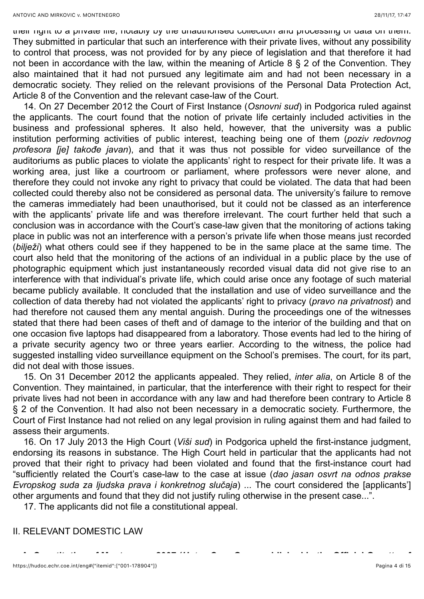their right to a private life, notably by the unauthorised collection and processing or data on them. They submitted in particular that such an interference with their private lives, without any possibility to control that process, was not provided for by any piece of legislation and that therefore it had not been in accordance with the law, within the meaning of Article 8 § 2 of the Convention. They also maintained that it had not pursued any legitimate aim and had not been necessary in a democratic society. They relied on the relevant provisions of the Personal Data Protection Act, Article 8 of the Convention and the relevant case-law of the Court.

14. On 27 December 2012 the Court of First Instance (*Osnovni sud*) in Podgorica ruled against the applicants. The court found that the notion of private life certainly included activities in the business and professional spheres. It also held, however, that the university was a public institution performing activities of public interest, teaching being one of them (*poziv redovnog profesora [je] takođe javan*), and that it was thus not possible for video surveillance of the auditoriums as public places to violate the applicants' right to respect for their private life. It was a working area, just like a courtroom or parliament, where professors were never alone, and therefore they could not invoke any right to privacy that could be violated. The data that had been collected could thereby also not be considered as personal data. The university's failure to remove the cameras immediately had been unauthorised, but it could not be classed as an interference with the applicants' private life and was therefore irrelevant. The court further held that such a conclusion was in accordance with the Court's case-law given that the monitoring of actions taking place in public was not an interference with a person's private life when those means just recorded (*bilježi*) what others could see if they happened to be in the same place at the same time. The court also held that the monitoring of the actions of an individual in a public place by the use of photographic equipment which just instantaneously recorded visual data did not give rise to an interference with that individual's private life, which could arise once any footage of such material became publicly available. It concluded that the installation and use of video surveillance and the collection of data thereby had not violated the applicants' right to privacy (*pravo na privatnost*) and had therefore not caused them any mental anguish. During the proceedings one of the witnesses stated that there had been cases of theft and of damage to the interior of the building and that on one occasion five laptops had disappeared from a laboratory. Those events had led to the hiring of a private security agency two or three years earlier. According to the witness, the police had suggested installing video surveillance equipment on the School's premises. The court, for its part, did not deal with those issues.

15. On 31 December 2012 the applicants appealed. They relied, *inter alia*, on Article 8 of the Convention. They maintained, in particular, that the interference with their right to respect for their private lives had not been in accordance with any law and had therefore been contrary to Article 8 § 2 of the Convention. It had also not been necessary in a democratic society. Furthermore, the Court of First Instance had not relied on any legal provision in ruling against them and had failed to assess their arguments.

16. On 17 July 2013 the High Court (*Viši sud*) in Podgorica upheld the first-instance judgment, endorsing its reasons in substance. The High Court held in particular that the applicants had not proved that their right to privacy had been violated and found that the first-instance court had "sufficiently related the Court's case-law to the case at issue (*dao jasan osvrt na odnos prakse Evropskog suda za ljudska prava i konkretnog slučaja*) ... The court considered the [applicants'] other arguments and found that they did not justify ruling otherwise in the present case...".

**A. Constitution of Montenegro 2007 (***Ustav Crne Gore***; published in the Official Gazette of**

17. The applicants did not file a constitutional appeal.

#### II. RELEVANT DOMESTIC LAW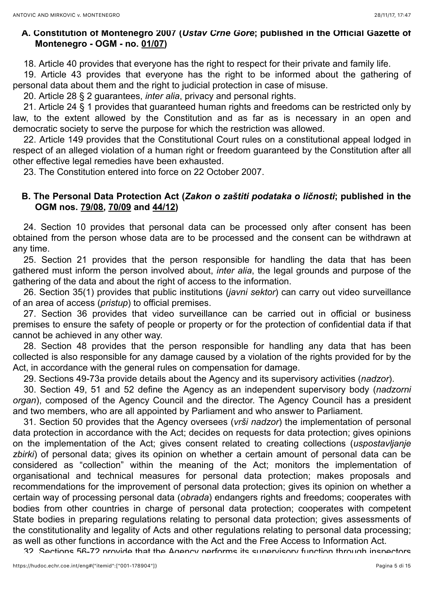### **A. Constitution of Montenegro 2007 (***Ustav Crne Gore***; published in the Official Gazette of Montenegro - OGM - no. [01/07](https://hudoc.echr.coe.int/eng#%7B%22appno%22:%5B%2201/07%22%5D%7D))**

18. Article 40 provides that everyone has the right to respect for their private and family life.

19. Article 43 provides that everyone has the right to be informed about the gathering of personal data about them and the right to judicial protection in case of misuse.

20. Article 28 § 2 guarantees, *inter alia*, privacy and personal rights.

21. Article 24 § 1 provides that guaranteed human rights and freedoms can be restricted only by law, to the extent allowed by the Constitution and as far as is necessary in an open and democratic society to serve the purpose for which the restriction was allowed.

22. Article 149 provides that the Constitutional Court rules on a constitutional appeal lodged in respect of an alleged violation of a human right or freedom guaranteed by the Constitution after all other effective legal remedies have been exhausted.

23. The Constitution entered into force on 22 October 2007.

### **B. The Personal Data Protection Act (***Zakon o zaštiti podataka o ličnosti***; published in the OGM nos. [79/08](https://hudoc.echr.coe.int/eng#%7B%22appno%22:%5B%2279/08%22%5D%7D), [70/09](https://hudoc.echr.coe.int/eng#%7B%22appno%22:%5B%2270/09%22%5D%7D) and [44/12](https://hudoc.echr.coe.int/eng#%7B%22appno%22:%5B%2244/12%22%5D%7D))**

24. Section 10 provides that personal data can be processed only after consent has been obtained from the person whose data are to be processed and the consent can be withdrawn at any time.

25. Section 21 provides that the person responsible for handling the data that has been gathered must inform the person involved about, *inter alia*, the legal grounds and purpose of the gathering of the data and about the right of access to the information.

26. Section 35(1) provides that public institutions (*javni sektor*) can carry out video surveillance of an area of access (*pristup*) to official premises.

27. Section 36 provides that video surveillance can be carried out in official or business premises to ensure the safety of people or property or for the protection of confidential data if that cannot be achieved in any other way.

28. Section 48 provides that the person responsible for handling any data that has been collected is also responsible for any damage caused by a violation of the rights provided for by the Act, in accordance with the general rules on compensation for damage.

29. Sections 49-73a provide details about the Agency and its supervisory activities (*nadzor*).

30. Section 49, 51 and 52 define the Agency as an independent supervisory body (*nadzorni organ*), composed of the Agency Council and the director. The Agency Council has a president and two members, who are all appointed by Parliament and who answer to Parliament.

31. Section 50 provides that the Agency oversees (*vrši nadzor*) the implementation of personal data protection in accordance with the Act; decides on requests for data protection; gives opinions on the implementation of the Act; gives consent related to creating collections (*uspostavljanje zbirki*) of personal data; gives its opinion on whether a certain amount of personal data can be considered as "collection" within the meaning of the Act; monitors the implementation of organisational and technical measures for personal data protection; makes proposals and recommendations for the improvement of personal data protection; gives its opinion on whether a certain way of processing personal data (*obrada*) endangers rights and freedoms; cooperates with bodies from other countries in charge of personal data protection; cooperates with competent State bodies in preparing regulations relating to personal data protection; gives assessments of the constitutionality and legality of Acts and other regulations relating to personal data processing; as well as other functions in accordance with the Act and the Free Access to Information Act.

32. Sections 56-72 provide that the Agency performs its supervisory function through inspectors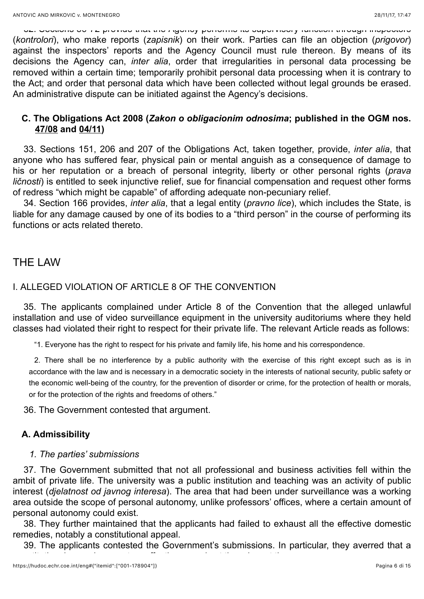32. Sections 56-72 provide that the Agency performs its supervisory function through inspectors

(*kontrolori*), who make reports (*zapisnik*) on their work. Parties can file an objection (*prigovor*) against the inspectors' reports and the Agency Council must rule thereon. By means of its decisions the Agency can, *inter alia*, order that irregularities in personal data processing be removed within a certain time; temporarily prohibit personal data processing when it is contrary to the Act; and order that personal data which have been collected without legal grounds be erased. An administrative dispute can be initiated against the Agency's decisions.

### **C. The Obligations Act 2008 (***Zakon o obligacionim odnosima***; published in the OGM nos. [47/08](https://hudoc.echr.coe.int/eng#%7B%22appno%22:%5B%2247/08%22%5D%7D) and [04/11](https://hudoc.echr.coe.int/eng#%7B%22appno%22:%5B%2204/11%22%5D%7D))**

33. Sections 151, 206 and 207 of the Obligations Act, taken together, provide, *inter alia*, that anyone who has suffered fear, physical pain or mental anguish as a consequence of damage to his or her reputation or a breach of personal integrity, liberty or other personal rights (*prava ličnosti*) is entitled to seek injunctive relief, sue for financial compensation and request other forms of redress "which might be capable" of affording adequate non-pecuniary relief.

34. Section 166 provides, *inter alia*, that a legal entity (*pravno lice*), which includes the State, is liable for any damage caused by one of its bodies to a "third person" in the course of performing its functions or acts related thereto.

### THE LAW

### I. ALLEGED VIOLATION OF ARTICLE 8 OF THE CONVENTION

constitutional appeal was not an effective remedy at the relevant time. The relevant time of the relevant time<br>The relevant time

35. The applicants complained under Article 8 of the Convention that the alleged unlawful installation and use of video surveillance equipment in the university auditoriums where they held classes had violated their right to respect for their private life. The relevant Article reads as follows:

"1. Everyone has the right to respect for his private and family life, his home and his correspondence.

2. There shall be no interference by a public authority with the exercise of this right except such as is in accordance with the law and is necessary in a democratic society in the interests of national security, public safety or the economic well-being of the country, for the prevention of disorder or crime, for the protection of health or morals, or for the protection of the rights and freedoms of others."

36. The Government contested that argument.

### **A. Admissibility**

#### *1. The parties' submissions*

37. The Government submitted that not all professional and business activities fell within the ambit of private life. The university was a public institution and teaching was an activity of public interest (*djelatnost od javnog interesa*). The area that had been under surveillance was a working area outside the scope of personal autonomy, unlike professors' offices, where a certain amount of personal autonomy could exist.

38. They further maintained that the applicants had failed to exhaust all the effective domestic remedies, notably a constitutional appeal.

39. The applicants contested the Government's submissions. In particular, they averred that a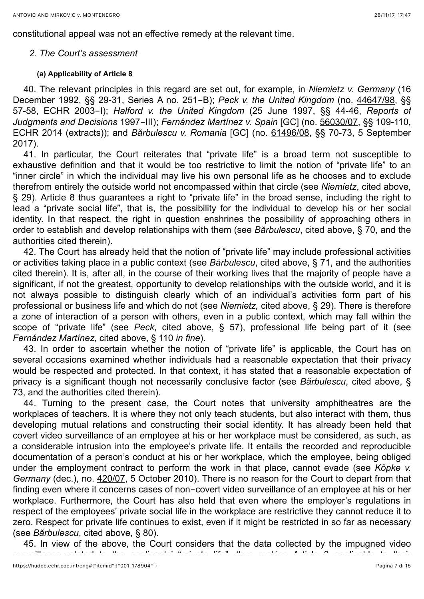constitutional appeal was not an effective remedy at the relevant time.

#### *2. The Court's assessment*

#### **(a) Applicability of Article 8**

40. The relevant principles in this regard are set out, for example, in *Niemietz v. Germany* (16 December 1992, §§ 29-31, Series A no. 251-B); *Peck v. the United Kingdom* (no. [44647/98,](https://hudoc.echr.coe.int/eng#%7B%22appno%22:%5B%2244647/98%22%5D%7D) §§ 57-58, ECHR 2003-I); *Halford v. the United Kingdom* (25 June 1997, §§ 44-46, *Reports of Judgments and Decisions* 1997-III); *Fernández Martínez v. Spain* [GC] (no. [56030/07,](https://hudoc.echr.coe.int/eng#%7B%22appno%22:%5B%2256030/07%22%5D%7D) §§ 109-110, ECHR 2014 (extracts)); and *Bărbulescu v. Romania* [GC] (no. [61496/08](https://hudoc.echr.coe.int/eng#%7B%22appno%22:%5B%2261496/08%22%5D%7D), §§ 70-73, 5 September 2017).

41. In particular, the Court reiterates that "private life" is a broad term not susceptible to exhaustive definition and that it would be too restrictive to limit the notion of "private life" to an "inner circle" in which the individual may live his own personal life as he chooses and to exclude therefrom entirely the outside world not encompassed within that circle (see *Niemietz*, cited above, § 29). Article 8 thus guarantees a right to "private life" in the broad sense, including the right to lead a "private social life", that is, the possibility for the individual to develop his or her social identity. In that respect, the right in question enshrines the possibility of approaching others in order to establish and develop relationships with them (see *Bărbulescu*, cited above, § 70, and the authorities cited therein).

42. The Court has already held that the notion of "private life" may include professional activities or activities taking place in a public context (see *Bărbulescu*, cited above, § 71, and the authorities cited therein). It is, after all, in the course of their working lives that the majority of people have a significant, if not the greatest, opportunity to develop relationships with the outside world, and it is not always possible to distinguish clearly which of an individual's activities form part of his professional or business life and which do not (see *Niemietz,* cited above, § 29). There is therefore a zone of interaction of a person with others, even in a public context, which may fall within the scope of "private life" (see *Peck*, cited above, § 57), professional life being part of it (see *Fernández Martínez*, cited above, § 110 *in fine*).

43. In order to ascertain whether the notion of "private life" is applicable, the Court has on several occasions examined whether individuals had a reasonable expectation that their privacy would be respected and protected. In that context, it has stated that a reasonable expectation of privacy is a significant though not necessarily conclusive factor (see *Bărbulescu*, cited above, § 73, and the authorities cited therein).

44. Turning to the present case, the Court notes that university amphitheatres are the workplaces of teachers. It is where they not only teach students, but also interact with them, thus developing mutual relations and constructing their social identity. It has already been held that covert video surveillance of an employee at his or her workplace must be considered, as such, as a considerable intrusion into the employee's private life. It entails the recorded and reproducible documentation of a person's conduct at his or her workplace, which the employee, being obliged under the employment contract to perform the work in that place, cannot evade (see *Köpke v. Germany* (dec.), no. [420/07,](https://hudoc.echr.coe.int/eng#%7B%22appno%22:%5B%22420/07%22%5D%7D) 5 October 2010). There is no reason for the Court to depart from that finding even where it concerns cases of non-covert video surveillance of an employee at his or her workplace. Furthermore, the Court has also held that even where the employer's regulations in respect of the employees' private social life in the workplace are restrictive they cannot reduce it to zero. Respect for private life continues to exist, even if it might be restricted in so far as necessary (see *Bărbulescu*, cited above, § 80).

45. In view of the above, the Court considers that the data collected by the impugned video

surveillance related to the applicants' "private life", thus making Article 8 applicable to their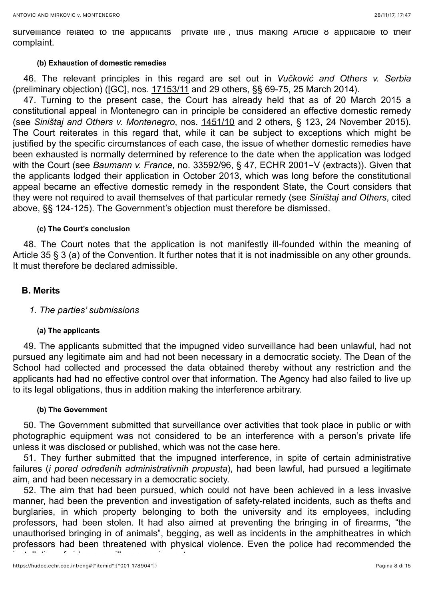surveillance related to the applicants "private life", thus making Article 8 applicable to their complaint.

#### **(b) Exhaustion of domestic remedies**

46. The relevant principles in this regard are set out in *Vučković and Others v. Serbia* (preliminary objection) ([GC], nos. [17153/11](https://hudoc.echr.coe.int/eng#%7B%22appno%22:%5B%2217153/11%22%5D%7D) and 29 others, §§ 69-75, 25 March 2014).

47. Turning to the present case, the Court has already held that as of 20 March 2015 a constitutional appeal in Montenegro can in principle be considered an effective domestic remedy (see *Siništaj and Others v. Montenegro*, nos. [1451/10](https://hudoc.echr.coe.int/eng#%7B%22appno%22:%5B%221451/10%22%5D%7D) and 2 others, § 123, 24 November 2015). The Court reiterates in this regard that, while it can be subject to exceptions which might be justified by the specific circumstances of each case, the issue of whether domestic remedies have been exhausted is normally determined by reference to the date when the application was lodged with the Court (see *Baumann v. France*, no. [33592/96,](https://hudoc.echr.coe.int/eng#%7B%22appno%22:%5B%2233592/96%22%5D%7D) § 47, ECHR 2001-V (extracts)). Given that the applicants lodged their application in October 2013, which was long before the constitutional appeal became an effective domestic remedy in the respondent State, the Court considers that they were not required to avail themselves of that particular remedy (see *Siništaj and Others*, cited above, §§ 124-125). The Government's objection must therefore be dismissed.

#### **(c) The Court's conclusion**

48. The Court notes that the application is not manifestly ill-founded within the meaning of Article 35 § 3 (a) of the Convention. It further notes that it is not inadmissible on any other grounds. It must therefore be declared admissible.

#### **B. Merits**

### *1. The parties' submissions*

#### **(a) The applicants**

49. The applicants submitted that the impugned video surveillance had been unlawful, had not pursued any legitimate aim and had not been necessary in a democratic society. The Dean of the School had collected and processed the data obtained thereby without any restriction and the applicants had had no effective control over that information. The Agency had also failed to live up to its legal obligations, thus in addition making the interference arbitrary.

#### **(b) The Government**

50. The Government submitted that surveillance over activities that took place in public or with photographic equipment was not considered to be an interference with a person's private life unless it was disclosed or published, which was not the case here.

51. They further submitted that the impugned interference, in spite of certain administrative failures (*i pored određenih administrativnih propusta*), had been lawful, had pursued a legitimate aim, and had been necessary in a democratic society.

52. The aim that had been pursued, which could not have been achieved in a less invasive manner, had been the prevention and investigation of safety-related incidents, such as thefts and burglaries, in which property belonging to both the university and its employees, including professors, had been stolen. It had also aimed at preventing the bringing in of firearms, "the unauthorised bringing in of animals", begging, as well as incidents in the amphitheatres in which professors had been threatened with physical violence. Even the police had recommended the installation of video surveillance equipment.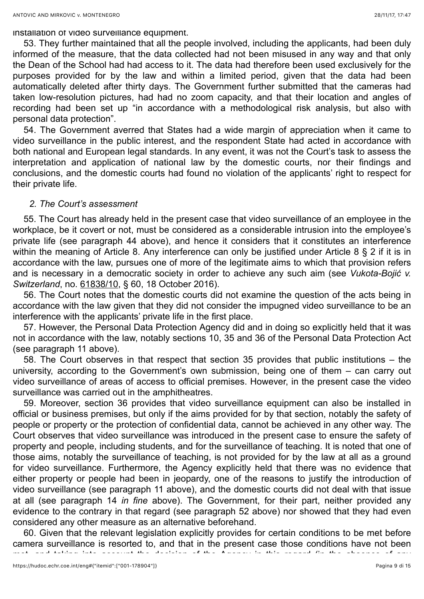installation of video surveillance equipment.

53. They further maintained that all the people involved, including the applicants, had been duly informed of the measure, that the data collected had not been misused in any way and that only the Dean of the School had had access to it. The data had therefore been used exclusively for the purposes provided for by the law and within a limited period, given that the data had been automatically deleted after thirty days. The Government further submitted that the cameras had taken low-resolution pictures, had had no zoom capacity, and that their location and angles of recording had been set up "in accordance with a methodological risk analysis, but also with personal data protection".

54. The Government averred that States had a wide margin of appreciation when it came to video surveillance in the public interest, and the respondent State had acted in accordance with both national and European legal standards. In any event, it was not the Court's task to assess the interpretation and application of national law by the domestic courts, nor their findings and conclusions, and the domestic courts had found no violation of the applicants' right to respect for their private life.

#### *2. The Court's assessment*

55. The Court has already held in the present case that video surveillance of an employee in the workplace, be it covert or not, must be considered as a considerable intrusion into the employee's private life (see paragraph 44 above), and hence it considers that it constitutes an interference within the meaning of Article 8. Any interference can only be justified under Article 8 § 2 if it is in accordance with the law, pursues one of more of the legitimate aims to which that provision refers and is necessary in a democratic society in order to achieve any such aim (see *Vukota-Bojić v. Switzerland*, no. [61838/10](https://hudoc.echr.coe.int/eng#%7B%22appno%22:%5B%2261838/10%22%5D%7D), § 60, 18 October 2016).

56. The Court notes that the domestic courts did not examine the question of the acts being in accordance with the law given that they did not consider the impugned video surveillance to be an interference with the applicants' private life in the first place.

57. However, the Personal Data Protection Agency did and in doing so explicitly held that it was not in accordance with the law, notably sections 10, 35 and 36 of the Personal Data Protection Act (see paragraph 11 above).

58. The Court observes in that respect that section 35 provides that public institutions – the university, according to the Government's own submission, being one of them – can carry out video surveillance of areas of access to official premises. However, in the present case the video surveillance was carried out in the amphitheatres.

59. Moreover, section 36 provides that video surveillance equipment can also be installed in official or business premises, but only if the aims provided for by that section, notably the safety of people or property or the protection of confidential data, cannot be achieved in any other way. The Court observes that video surveillance was introduced in the present case to ensure the safety of property and people, including students, and for the surveillance of teaching. It is noted that one of those aims, notably the surveillance of teaching, is not provided for by the law at all as a ground for video surveillance. Furthermore, the Agency explicitly held that there was no evidence that either property or people had been in jeopardy, one of the reasons to justify the introduction of video surveillance (see paragraph 11 above), and the domestic courts did not deal with that issue at all (see paragraph 14 *in fine* above). The Government, for their part, neither provided any evidence to the contrary in that regard (see paragraph 52 above) nor showed that they had even considered any other measure as an alternative beforehand.

60. Given that the relevant legislation explicitly provides for certain conditions to be met before camera surveillance is resorted to, and that in the present case those conditions have not been met, and taking into account the decision of the Agency in this regard (in the absence of any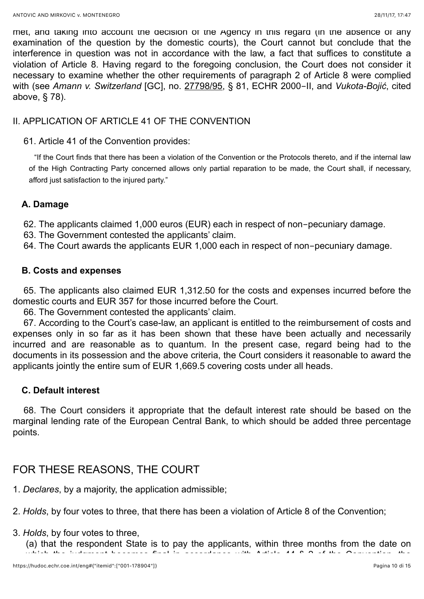met, and taking into account the decision of the Agency in this regard (in the absence of any examination of the question by the domestic courts), the Court cannot but conclude that the interference in question was not in accordance with the law, a fact that suffices to constitute a violation of Article 8. Having regard to the foregoing conclusion, the Court does not consider it necessary to examine whether the other requirements of paragraph 2 of Article 8 were complied with (see *Amann v. Switzerland* [GC], no. [27798/95](https://hudoc.echr.coe.int/eng#%7B%22appno%22:%5B%2227798/95%22%5D%7D), § 81, ECHR 2000-II, and *Vukota-Bojić*, cited above, § 78).

### II. APPLICATION OF ARTICLE 41 OF THE CONVENTION

### 61. Article 41 of the Convention provides:

"If the Court finds that there has been a violation of the Convention or the Protocols thereto, and if the internal law of the High Contracting Party concerned allows only partial reparation to be made, the Court shall, if necessary, afford just satisfaction to the injured party."

### **A. Damage**

62. The applicants claimed 1,000 euros (EUR) each in respect of non-pecuniary damage.

63. The Government contested the applicants' claim.

64. The Court awards the applicants EUR 1,000 each in respect of non-pecuniary damage.

#### **B. Costs and expenses**

65. The applicants also claimed EUR 1,312.50 for the costs and expenses incurred before the domestic courts and EUR 357 for those incurred before the Court.

66. The Government contested the applicants' claim.

67. According to the Court's case-law, an applicant is entitled to the reimbursement of costs and expenses only in so far as it has been shown that these have been actually and necessarily incurred and are reasonable as to quantum. In the present case, regard being had to the documents in its possession and the above criteria, the Court considers it reasonable to award the applicants jointly the entire sum of EUR 1,669.5 covering costs under all heads.

### **C. Default interest**

68. The Court considers it appropriate that the default interest rate should be based on the marginal lending rate of the European Central Bank, to which should be added three percentage points.

## FOR THESE REASONS, THE COURT

1. *Declares*, by a majority, the application admissible;

2. *Holds*, by four votes to three, that there has been a violation of Article 8 of the Convention;

#### 3. *Holds*, by four votes to three,

(a) that the respondent State is to pay the applicants, within three months from the date on which the judgment becomes final in accordance with Article 44 § 2 of the Convention, the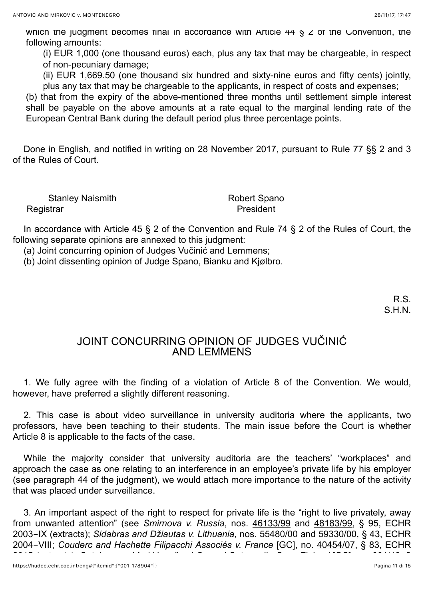which the judgment becomes final in accordance with Article  $44 \leq z$  of the Convention, the following amounts:

(i) EUR 1,000 (one thousand euros) each, plus any tax that may be chargeable, in respect of non-pecuniary damage;

(ii) EUR 1,669.50 (one thousand six hundred and sixty-nine euros and fifty cents) jointly, plus any tax that may be chargeable to the applicants, in respect of costs and expenses;

(b) that from the expiry of the above-mentioned three months until settlement simple interest shall be payable on the above amounts at a rate equal to the marginal lending rate of the European Central Bank during the default period plus three percentage points.

Done in English, and notified in writing on 28 November 2017, pursuant to Rule 77 §§ 2 and 3 of the Rules of Court.

Stanley Naismith **Robert Spano** Registrar **President** 

In accordance with Article 45  $\S$  2 of the Convention and Rule 74  $\S$  2 of the Rules of Court, the following separate opinions are annexed to this judgment:

(a) Joint concurring opinion of Judges Vučinić and Lemmens;

(b) Joint dissenting opinion of Judge Spano, Bianku and Kjølbro.

R.S. S.H.N.

## JOINT CONCURRING OPINION OF JUDGES VUČINIĆ AND LEMMENS

1. We fully agree with the finding of a violation of Article 8 of the Convention. We would, however, have preferred a slightly different reasoning.

2. This case is about video surveillance in university auditoria where the applicants, two professors, have been teaching to their students. The main issue before the Court is whether Article 8 is applicable to the facts of the case.

While the majority consider that university auditoria are the teachers' "workplaces" and approach the case as one relating to an interference in an employee's private life by his employer (see paragraph 44 of the judgment), we would attach more importance to the nature of the activity that was placed under surveillance.

3. An important aspect of the right to respect for private life is the "right to live privately, away from unwanted attention" (see *Smirnova v. Russia*, nos. [46133/99](https://hudoc.echr.coe.int/eng#%7B%22appno%22:%5B%2246133/99%22%5D%7D) and [48183/99,](https://hudoc.echr.coe.int/eng#%7B%22appno%22:%5B%2248183/99%22%5D%7D) § 95, ECHR 2003-IX (extracts); *Sidabras and Džiautas v. Lithuania*, nos. [55480/00](https://hudoc.echr.coe.int/eng#%7B%22appno%22:%5B%2255480/00%22%5D%7D) and [59330/00,](https://hudoc.echr.coe.int/eng#%7B%22appno%22:%5B%2259330/00%22%5D%7D) § 43, ECHR 2004-VIII; *Couderc and Hachette Filipacchi Associés v. France* [GC], no. [40454/07,](https://hudoc.echr.coe.int/eng#%7B%22appno%22:%5B%2240454/07%22%5D%7D) § 83, ECHR

2015 (extracts); *Satakunnan Markkinapörssi Oy and Satamedia Oy v. Finland* [GC], no. [931/13](https://hudoc.echr.coe.int/eng#%7B%22appno%22:%5B%22931/13%22%5D%7D), §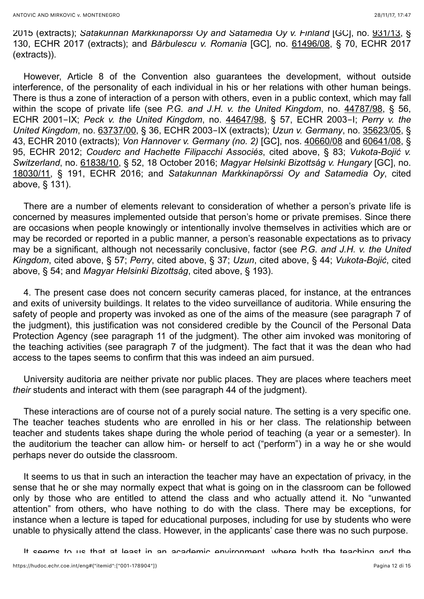2015 (extracts); *Satakunnan Markkinapörssi Oy and Satamedia Oy v. Finland* [GC], no. [931/13](https://hudoc.echr.coe.int/eng#%7B%22appno%22:%5B%22931/13%22%5D%7D), § 130, ECHR 2017 (extracts); and *Bărbulescu v. Romania* [GC]*,* no. [61496/08](https://hudoc.echr.coe.int/eng#%7B%22appno%22:%5B%2261496/08%22%5D%7D), § 70, ECHR 2017 (extracts)).

However, Article 8 of the Convention also guarantees the development, without outside interference, of the personality of each individual in his or her relations with other human beings. There is thus a zone of interaction of a person with others, even in a public context, which may fall within the scope of private life (see *P.G. and J.H. v. the United Kingdom*, no. [44787/98](https://hudoc.echr.coe.int/eng#%7B%22appno%22:%5B%2244787/98%22%5D%7D), § 56, ECHR 2001-IX; *Peck v. the United Kingdom*, no. [44647/98,](https://hudoc.echr.coe.int/eng#%7B%22appno%22:%5B%2244647/98%22%5D%7D) § 57, ECHR 2003-I; *Perry v. the United Kingdom*, no. [63737/00](https://hudoc.echr.coe.int/eng#%7B%22appno%22:%5B%2263737/00%22%5D%7D), § 36, ECHR 2003-IX (extracts); *Uzun v. Germany*, no. [35623/05](https://hudoc.echr.coe.int/eng#%7B%22appno%22:%5B%2235623/05%22%5D%7D), § 43, ECHR 2010 (extracts); *Von Hannover v. Germany (no. 2)* [GC], nos. [40660/08](https://hudoc.echr.coe.int/eng#%7B%22appno%22:%5B%2240660/08%22%5D%7D) and [60641/08](https://hudoc.echr.coe.int/eng#%7B%22appno%22:%5B%2260641/08%22%5D%7D), § 95, ECHR 2012; *Couderc and Hachette Filipacchi Associés*, cited above, § 83; *Vukota-Bojić v. Switzerland*, no. [61838/10](https://hudoc.echr.coe.int/eng#%7B%22appno%22:%5B%2261838/10%22%5D%7D), § 52, 18 October 2016; *Magyar Helsinki Bizottság v. Hungary* [GC], no. [18030/11](https://hudoc.echr.coe.int/eng#%7B%22appno%22:%5B%2218030/11%22%5D%7D), § 191, ECHR 2016; and *Satakunnan Markkinapörssi Oy and Satamedia Oy*, cited above, § 131).

There are a number of elements relevant to consideration of whether a person's private life is concerned by measures implemented outside that person's home or private premises. Since there are occasions when people knowingly or intentionally involve themselves in activities which are or may be recorded or reported in a public manner, a person's reasonable expectations as to privacy may be a significant, although not necessarily conclusive, factor (see *P.G. and J.H. v. the United Kingdom*, cited above, § 57; *Perry*, cited above, § 37; *Uzun*, cited above, § 44; *Vukota-Bojić*, cited above, § 54; and *Magyar Helsinki Bizottság*, cited above, § 193).

4. The present case does not concern security cameras placed, for instance, at the entrances and exits of university buildings. It relates to the video surveillance of auditoria. While ensuring the safety of people and property was invoked as one of the aims of the measure (see paragraph 7 of the judgment), this justification was not considered credible by the Council of the Personal Data Protection Agency (see paragraph 11 of the judgment). The other aim invoked was monitoring of the teaching activities (see paragraph 7 of the judgment). The fact that it was the dean who had access to the tapes seems to confirm that this was indeed an aim pursued.

University auditoria are neither private nor public places. They are places where teachers meet *their* students and interact with them (see paragraph 44 of the judgment).

These interactions are of course not of a purely social nature. The setting is a very specific one. The teacher teaches students who are enrolled in his or her class. The relationship between teacher and students takes shape during the whole period of teaching (a year or a semester). In the auditorium the teacher can allow him- or herself to act ("perform") in a way he or she would perhaps never do outside the classroom.

It seems to us that in such an interaction the teacher may have an expectation of privacy, in the sense that he or she may normally expect that what is going on in the classroom can be followed only by those who are entitled to attend the class and who actually attend it. No "unwanted attention" from others, who have nothing to do with the class. There may be exceptions, for instance when a lecture is taped for educational purposes, including for use by students who were unable to physically attend the class. However, in the applicants' case there was no such purpose.

It seems to us that at least in an academic environment, where both the teaching and the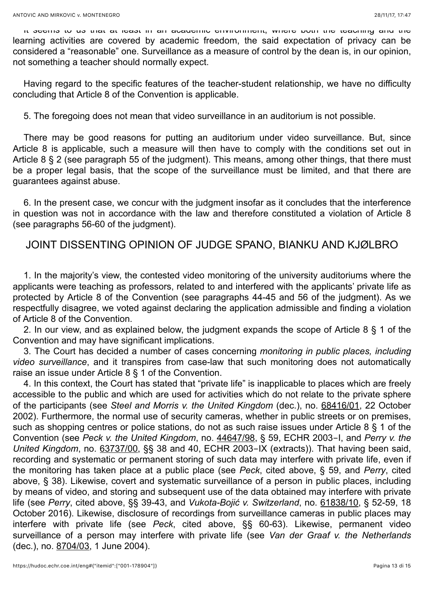It seems to us that at least in an academic environment, where both the teaching and the learning activities are covered by academic freedom, the said expectation of privacy can be considered a "reasonable" one. Surveillance as a measure of control by the dean is, in our opinion, not something a teacher should normally expect.

Having regard to the specific features of the teacher-student relationship, we have no difficulty concluding that Article 8 of the Convention is applicable.

5. The foregoing does not mean that video surveillance in an auditorium is not possible.

There may be good reasons for putting an auditorium under video surveillance. But, since Article 8 is applicable, such a measure will then have to comply with the conditions set out in Article 8 § 2 (see paragraph 55 of the judgment). This means, among other things, that there must be a proper legal basis, that the scope of the surveillance must be limited, and that there are guarantees against abuse.

6. In the present case, we concur with the judgment insofar as it concludes that the interference in question was not in accordance with the law and therefore constituted a violation of Article 8 (see paragraphs 56-60 of the judgment).

# JOINT DISSENTING OPINION OF JUDGE SPANO, BIANKU AND KJØLBRO

1. In the majority's view, the contested video monitoring of the university auditoriums where the applicants were teaching as professors, related to and interfered with the applicants' private life as protected by Article 8 of the Convention (see paragraphs 44-45 and 56 of the judgment). As we respectfully disagree, we voted against declaring the application admissible and finding a violation of Article 8 of the Convention.

2. In our view, and as explained below, the judgment expands the scope of Article 8 § 1 of the Convention and may have significant implications.

3. The Court has decided a number of cases concerning *monitoring in public places, including video surveillance*, and it transpires from case-law that such monitoring does not automatically raise an issue under Article 8 § 1 of the Convention.

4. In this context, the Court has stated that "private life" is inapplicable to places which are freely accessible to the public and which are used for activities which do not relate to the private sphere of the participants (see *Steel and Morris v. the United Kingdom* (dec.), no. [68416/01,](https://hudoc.echr.coe.int/eng#%7B%22appno%22:%5B%2268416/01%22%5D%7D) 22 October 2002). Furthermore, the normal use of security cameras, whether in public streets or on premises, such as shopping centres or police stations, do not as such raise issues under Article 8 § 1 of the Convention (see *Peck v. the United Kingdom*, no. [44647/98](https://hudoc.echr.coe.int/eng#%7B%22appno%22:%5B%2244647/98%22%5D%7D), § 59, ECHR 2003-I, and *Perry v. the United Kingdom*, no. [63737/00](https://hudoc.echr.coe.int/eng#%7B%22appno%22:%5B%2263737/00%22%5D%7D), §§ 38 and 40, ECHR 2003-IX (extracts)). That having been said, recording and systematic or permanent storing of such data may interfere with private life, even if the monitoring has taken place at a public place (see *Peck*, cited above, § 59, and *Perry*, cited above, § 38). Likewise, covert and systematic surveillance of a person in public places, including by means of video, and storing and subsequent use of the data obtained may interfere with private life (see *Perry*, cited above, §§ 39-43, and *Vukota-Bojić v. Switzerland*, no. [61838/10](https://hudoc.echr.coe.int/eng#%7B%22appno%22:%5B%2261838/10%22%5D%7D), § 52-59, 18 October 2016). Likewise, disclosure of recordings from surveillance cameras in public places may interfere with private life (see *Peck*, cited above, §§ 60-63). Likewise, permanent video surveillance of a person may interfere with private life (see *Van der Graaf v. the Netherlands* (dec.), no. [8704/03](https://hudoc.echr.coe.int/eng#%7B%22appno%22:%5B%228704/03%22%5D%7D), 1 June 2004).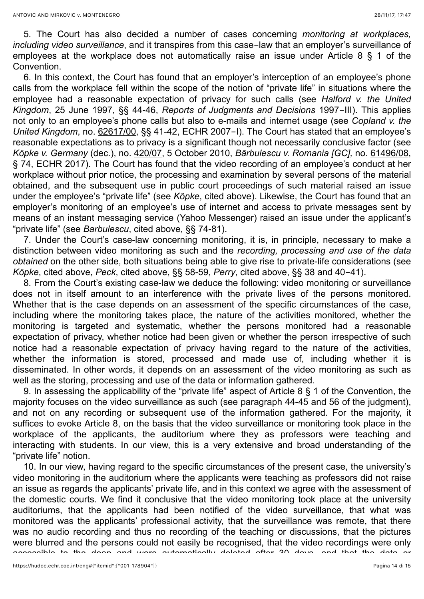5. The Court has also decided a number of cases concerning *monitoring at workplaces, including video surveillance*, and it transpires from this case-law that an employer's surveillance of employees at the workplace does not automatically raise an issue under Article 8 § 1 of the Convention.

6. In this context, the Court has found that an employer's interception of an employee's phone calls from the workplace fell within the scope of the notion of "private life" in situations where the employee had a reasonable expectation of privacy for such calls (see *Halford v. the United Kingdom*, 25 June 1997, §§ 44-46, *Reports of Judgments and Decisions* 1997-III). This applies not only to an employee's phone calls but also to e-mails and internet usage (see *Copland v. the United Kingdom*, no. [62617/00](https://hudoc.echr.coe.int/eng#%7B%22appno%22:%5B%2262617/00%22%5D%7D), §§ 41-42, ECHR 2007-I). The Court has stated that an employee's reasonable expectations as to privacy is a significant though not necessarily conclusive factor (see *Köpke v. Germany* (dec.), no. [420/07](https://hudoc.echr.coe.int/eng#%7B%22appno%22:%5B%22420/07%22%5D%7D), 5 October 2010, *Bărbulescu v. Romania [GC],* no. [61496/08,](https://hudoc.echr.coe.int/eng#%7B%22appno%22:%5B%2261496/08%22%5D%7D) § 74, ECHR 2017). The Court has found that the video recording of an employee's conduct at her workplace without prior notice, the processing and examination by several persons of the material obtained, and the subsequent use in public court proceedings of such material raised an issue under the employee's "private life" (see *Köpke*, cited above). Likewise, the Court has found that an employer's monitoring of an employee's use of internet and access to private messages sent by means of an instant messaging service (Yahoo Messenger) raised an issue under the applicant's "private life" (see *Barbulescu*, cited above, §§ 74-81).

7. Under the Court's case-law concerning monitoring, it is, in principle, necessary to make a distinction between video monitoring as such and the *recording, processing and use of the data obtained* on the other side, both situations being able to give rise to private-life considerations (see *Köpke*, cited above, *Peck*, cited above, §§ 58-59, *Perry*, cited above, §§ 38 and 40-41).

8. From the Court's existing case-law we deduce the following: video monitoring or surveillance does not in itself amount to an interference with the private lives of the persons monitored. Whether that is the case depends on an assessment of the specific circumstances of the case, including where the monitoring takes place, the nature of the activities monitored, whether the monitoring is targeted and systematic, whether the persons monitored had a reasonable expectation of privacy, whether notice had been given or whether the person irrespective of such notice had a reasonable expectation of privacy having regard to the nature of the activities, whether the information is stored, processed and made use of, including whether it is disseminated. In other words, it depends on an assessment of the video monitoring as such as well as the storing, processing and use of the data or information gathered.

9. In assessing the applicability of the "private life" aspect of Article 8 § 1 of the Convention, the majority focuses on the video surveillance as such (see paragraph 44-45 and 56 of the judgment), and not on any recording or subsequent use of the information gathered. For the majority, it suffices to evoke Article 8, on the basis that the video surveillance or monitoring took place in the workplace of the applicants, the auditorium where they as professors were teaching and interacting with students. In our view, this is a very extensive and broad understanding of the "private life" notion.

10. In our view, having regard to the specific circumstances of the present case, the university's video monitoring in the auditorium where the applicants were teaching as professors did not raise an issue as regards the applicants' private life, and in this context we agree with the assessment of the domestic courts. We find it conclusive that the video monitoring took place at the university auditoriums, that the applicants had been notified of the video surveillance, that what was monitored was the applicants' professional activity, that the surveillance was remote, that there was no audio recording and thus no recording of the teaching or discussions, that the pictures were blurred and the persons could not easily be recognised, that the video recordings were only accessible to the dean and were automatically deleted after 30 days, and that the data or